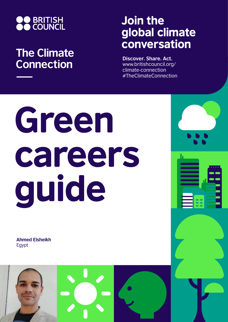

## **The Climate Connection**

## Join the global climate conversation

**Discover. Share. Act.** www.britishcouncil.org/ climate-connection #TheClimateConnection

## Green careers guide

**Ahmed Elsheikh** Egypt